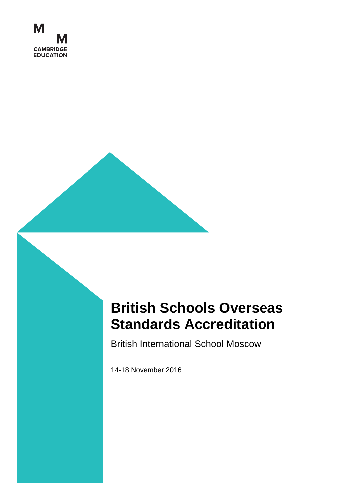

# **British Schools Overseas Standards Accreditation**

British International School Moscow

14-18 November 2016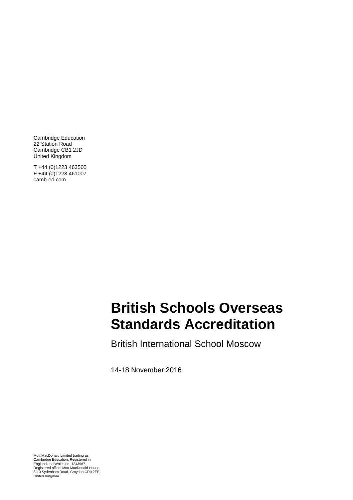Cambridge Education 22 Station Road Cambridge CB1 2JD United Kingdom

T +44 (0)1223 463500 F +44 (0)1223 461007 camb-ed.com

### ndarde A*ne* **Standards Accreditation British Schools Overseas**

British International School Moscow

14-18 November 2016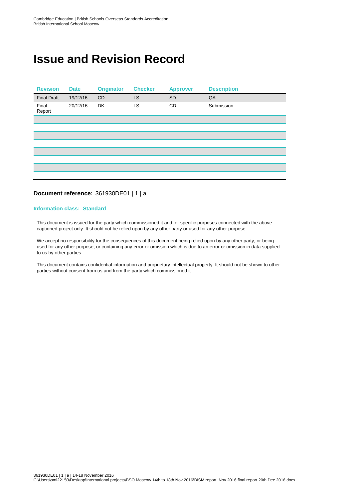### **Issue and Revision Record**

| <b>Revision</b>    | <b>Date</b> | <b>Originator</b> | <b>Checker</b> | <b>Approver</b> | <b>Description</b> |
|--------------------|-------------|-------------------|----------------|-----------------|--------------------|
| <b>Final Draft</b> | 19/12/16    | <b>CD</b>         | LS             | <b>SD</b>       | QA                 |
| Final<br>Report    | 20/12/16    | <b>DK</b>         | LS             | CD              | Submission         |
|                    |             |                   |                |                 |                    |
|                    |             |                   |                |                 |                    |
|                    |             |                   |                |                 |                    |
|                    |             |                   |                |                 |                    |
|                    |             |                   |                |                 |                    |
|                    |             |                   |                |                 |                    |
|                    |             |                   |                |                 |                    |
|                    |             |                   |                |                 |                    |

#### **Document reference:** 361930DE01 | 1 | a

#### **Information class: Standard**

This document is issued for the party which commissioned it and for specific purposes connected with the abovecaptioned project only. It should not be relied upon by any other party or used for any other purpose.

We accept no responsibility for the consequences of this document being relied upon by any other party, or being used for any other purpose, or containing any error or omission which is due to an error or omission in data supplied to us by other parties.

This document contains confidential information and proprietary intellectual property. It should not be shown to other parties without consent from us and from the party which commissioned it.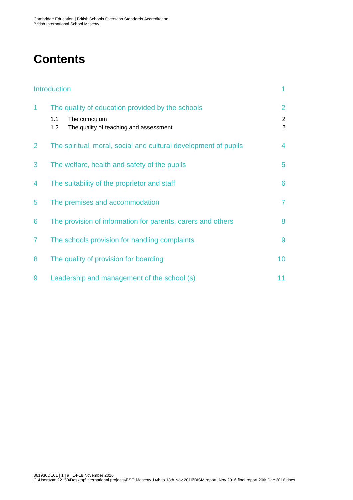### **Contents**

|                | <b>Introduction</b>                                                                                                        | 1                                     |
|----------------|----------------------------------------------------------------------------------------------------------------------------|---------------------------------------|
| 1              | The quality of education provided by the schools<br>The curriculum<br>1.1<br>1.2<br>The quality of teaching and assessment | $\overline{2}$<br>$\overline{2}$<br>2 |
| $\overline{2}$ | The spiritual, moral, social and cultural development of pupils                                                            | $\overline{4}$                        |
| 3              | The welfare, health and safety of the pupils                                                                               | 5                                     |
| 4              | The suitability of the proprietor and staff                                                                                | 6                                     |
| 5              | The premises and accommodation                                                                                             | $\overline{7}$                        |
| 6              | The provision of information for parents, carers and others                                                                | 8                                     |
| $\overline{7}$ | The schools provision for handling complaints                                                                              | 9                                     |
| 8              | The quality of provision for boarding                                                                                      | 10                                    |
| 9              | Leadership and management of the school (s)                                                                                | 11                                    |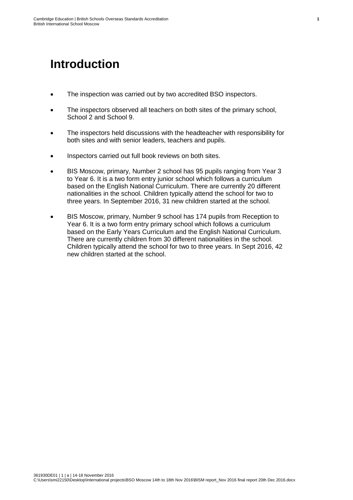### <span id="page-6-0"></span>**Introduction**

- The inspection was carried out by two accredited BSO inspectors.
- The inspectors observed all teachers on both sites of the primary school, School 2 and School 9.
- The inspectors held discussions with the headteacher with responsibility for both sites and with senior leaders, teachers and pupils.
- Inspectors carried out full book reviews on both sites.
- BIS Moscow, primary, Number 2 school has 95 pupils ranging from Year 3 to Year 6. It is a two form entry junior school which follows a curriculum based on the English National Curriculum. There are currently 20 different nationalities in the school. Children typically attend the school for two to three years. In September 2016, 31 new children started at the school.
- BIS Moscow, primary, Number 9 school has 174 pupils from Reception to Year 6. It is a two form entry primary school which follows a curriculum based on the Early Years Curriculum and the English National Curriculum. There are currently children from 30 different nationalities in the school. Children typically attend the school for two to three years. In Sept 2016, 42 new children started at the school.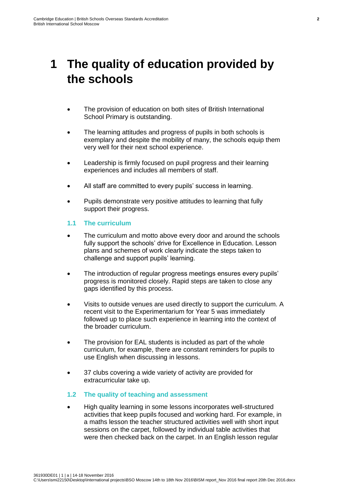### <span id="page-7-0"></span>**1 The quality of education provided by the schools**

- The provision of education on both sites of British International School Primary is outstanding.
- The learning attitudes and progress of pupils in both schools is exemplary and despite the mobility of many, the schools equip them very well for their next school experience.
- Leadership is firmly focused on pupil progress and their learning experiences and includes all members of staff.
- All staff are committed to every pupils' success in learning.
- Pupils demonstrate very positive attitudes to learning that fully support their progress.

#### <span id="page-7-1"></span>**1.1 The curriculum**

- The curriculum and motto above every door and around the schools fully support the schools' drive for Excellence in Education. Lesson plans and schemes of work clearly indicate the steps taken to challenge and support pupils' learning.
- The introduction of regular progress meetings ensures every pupils' progress is monitored closely. Rapid steps are taken to close any gaps identified by this process.
- Visits to outside venues are used directly to support the curriculum. A recent visit to the Experimentarium for Year 5 was immediately followed up to place such experience in learning into the context of the broader curriculum.
- The provision for EAL students is included as part of the whole curriculum, for example, there are constant reminders for pupils to use English when discussing in lessons.
- 37 clubs covering a wide variety of activity are provided for extracurricular take up.

#### <span id="page-7-2"></span>**1.2 The quality of teaching and assessment**

 High quality learning in some lessons incorporates well-structured activities that keep pupils focused and working hard. For example, in a maths lesson the teacher structured activities well with short input sessions on the carpet, followed by individual table activities that were then checked back on the carpet. In an English lesson regular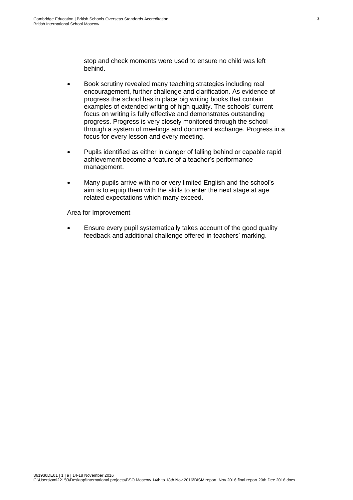stop and check moments were used to ensure no child was left behind.

- Book scrutiny revealed many teaching strategies including real encouragement, further challenge and clarification. As evidence of progress the school has in place big writing books that contain examples of extended writing of high quality. The schools' current focus on writing is fully effective and demonstrates outstanding progress. Progress is very closely monitored through the school through a system of meetings and document exchange. Progress in a focus for every lesson and every meeting.
- Pupils identified as either in danger of falling behind or capable rapid achievement become a feature of a teacher's performance management.
- Many pupils arrive with no or very limited English and the school's aim is to equip them with the skills to enter the next stage at age related expectations which many exceed.

Area for Improvement

 Ensure every pupil systematically takes account of the good quality feedback and additional challenge offered in teachers' marking.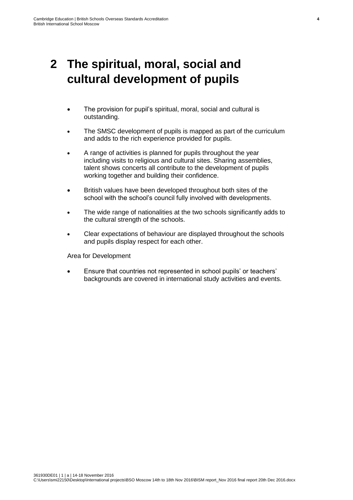### <span id="page-9-0"></span>**2 The spiritual, moral, social and cultural development of pupils**

- The provision for pupil's spiritual, moral, social and cultural is outstanding.
- The SMSC development of pupils is mapped as part of the curriculum and adds to the rich experience provided for pupils.
- A range of activities is planned for pupils throughout the year including visits to religious and cultural sites. Sharing assemblies, talent shows concerts all contribute to the development of pupils working together and building their confidence.
- British values have been developed throughout both sites of the school with the school's council fully involved with developments.
- The wide range of nationalities at the two schools significantly adds to the cultural strength of the schools.
- Clear expectations of behaviour are displayed throughout the schools and pupils display respect for each other.

Area for Development

 Ensure that countries not represented in school pupils' or teachers' backgrounds are covered in international study activities and events.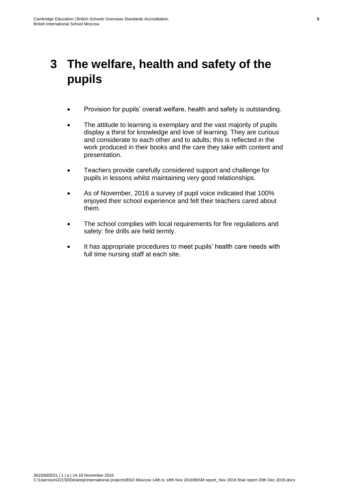### <span id="page-10-0"></span>**3 The welfare, health and safety of the pupils**

- Provision for pupils' overall welfare, health and safety is outstanding.
- The attitude to learning is exemplary and the vast majority of pupils display a thirst for knowledge and love of learning. They are curious and considerate to each other and to adults; this is reflected in the work produced in their books and the care they take with content and presentation.
- Teachers provide carefully considered support and challenge for pupils in lessons whilst maintaining very good relationships.
- As of November, 2016 a survey of pupil voice indicated that 100% enjoyed their school experience and felt their teachers cared about them.
- The school complies with local requirements for fire regulations and safety: fire drills are held termly.
- It has appropriate procedures to meet pupils' health care needs with full time nursing staff at each site.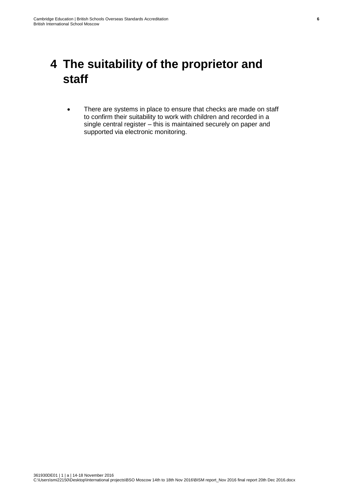### <span id="page-11-0"></span>**4 The suitability of the proprietor and staff**

• There are systems in place to ensure that checks are made on staff to confirm their suitability to work with children and recorded in a single central register – this is maintained securely on paper and supported via electronic monitoring.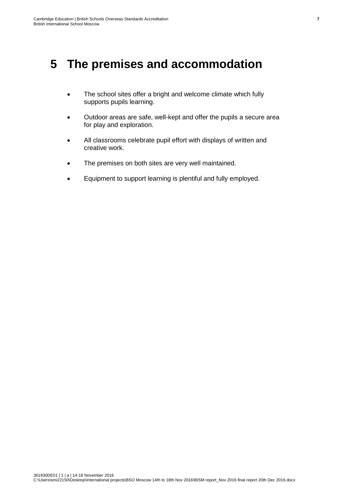### <span id="page-12-0"></span>**5 The premises and accommodation**

- The school sites offer a bright and welcome climate which fully supports pupils learning.
- Outdoor areas are safe, well-kept and offer the pupils a secure area for play and exploration.
- All classrooms celebrate pupil effort with displays of written and creative work.
- The premises on both sites are very well maintained.
- Equipment to support learning is plentiful and fully employed.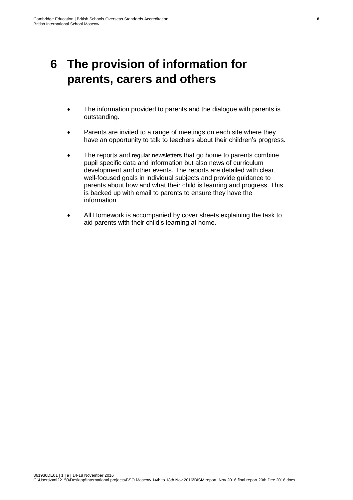### <span id="page-13-0"></span>**6 The provision of information for parents, carers and others**

- The information provided to parents and the dialogue with parents is outstanding.
- Parents are invited to a range of meetings on each site where they have an opportunity to talk to teachers about their children's progress.
- The reports and regular newsletters that go home to parents combine pupil specific data and information but also news of curriculum development and other events. The reports are detailed with clear, well-focused goals in individual subjects and provide guidance to parents about how and what their child is learning and progress. This is backed up with email to parents to ensure they have the information.
- All Homework is accompanied by cover sheets explaining the task to aid parents with their child's learning at home.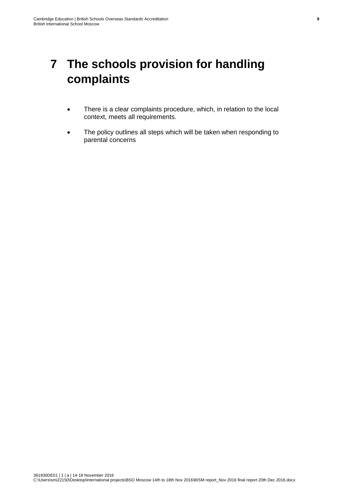### <span id="page-14-0"></span>**7 The schools provision for handling complaints**

- There is a clear complaints procedure, which, in relation to the local context, meets all requirements.
- The policy outlines all steps which will be taken when responding to parental concerns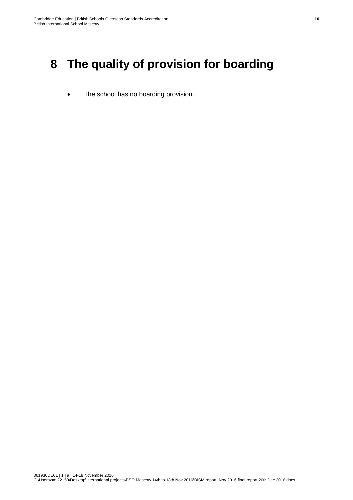### <span id="page-15-0"></span>**8 The quality of provision for boarding**

• The school has no boarding provision.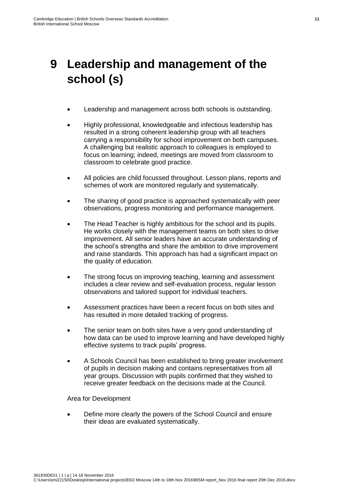## <span id="page-16-0"></span>**9 Leadership and management of the school (s)**

- Leadership and management across both schools is outstanding.
- Highly professional, knowledgeable and infectious leadership has resulted in a strong coherent leadership group with all teachers carrying a responsibility for school improvement on both campuses. A challenging but realistic approach to colleagues is employed to focus on learning; indeed, meetings are moved from classroom to classroom to celebrate good practice.
- All policies are child focussed throughout. Lesson plans, reports and schemes of work are monitored regularly and systematically.
- The sharing of good practice is approached systematically with peer observations, progress monitoring and performance management.
- The Head Teacher is highly ambitious for the school and its pupils. He works closely with the management teams on both sites to drive improvement. All senior leaders have an accurate understanding of the school's strengths and share the ambition to drive improvement and raise standards. This approach has had a significant impact on the quality of education.
- The strong focus on improving teaching, learning and assessment includes a clear review and self-evaluation process, regular lesson observations and tailored support for individual teachers.
- Assessment practices have been a recent focus on both sites and has resulted in more detailed tracking of progress.
- The senior team on both sites have a very good understanding of how data can be used to improve learning and have developed highly effective systems to track pupils' progress.
- A Schools Council has been established to bring greater involvement of pupils in decision making and contains representatives from all year groups. Discussion with pupils confirmed that they wished to receive greater feedback on the decisions made at the Council.

Area for Development

 Define more clearly the powers of the School Council and ensure their ideas are evaluated systematically.